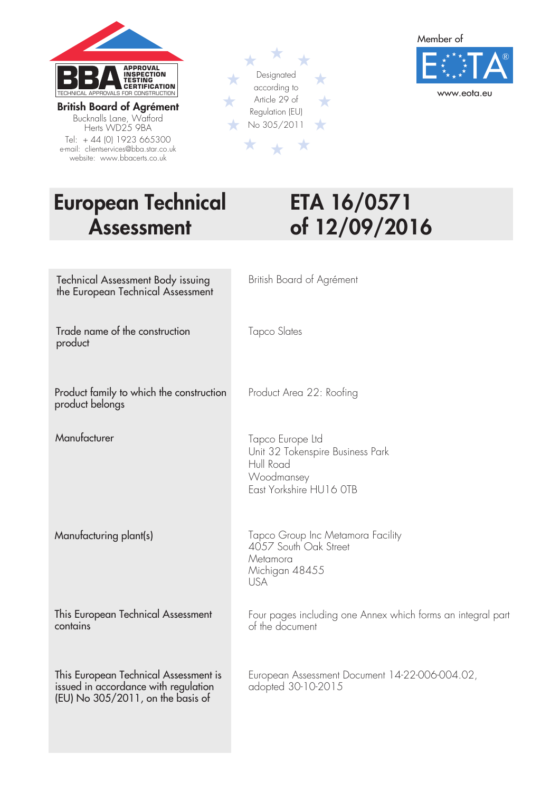

British Board of Agrément Bucknalls Lane, Watford Herts WD25 9BA Tel: + 44 (0) 1923 665300 e-mail: clientservices@bba.star.co.uk website: www.bbacerts.co.uk





# European Technical ETA 16/0571

# Assessment of 12/09/2016

| <b>Technical Assessment Body issuing</b><br>the European Technical Assessment                                        | British Board of Agrément                                                                                  |
|----------------------------------------------------------------------------------------------------------------------|------------------------------------------------------------------------------------------------------------|
| Trade name of the construction<br>product                                                                            | Tapco Slates                                                                                               |
| Product family to which the construction<br>product belongs                                                          | Product Area 22: Roofing                                                                                   |
| Manufacturer                                                                                                         | Tapco Europe Ltd<br>Unit 32 Tokenspire Business Park<br>Hull Road<br>Woodmansey<br>East Yorkshire HU16 OTB |
| Manufacturing plant(s)                                                                                               | Tapco Group Inc Metamora Facility<br>4057 South Oak Street<br>Metamora<br>Michigan 48455<br><b>USA</b>     |
| This European Technical Assessment<br>contains                                                                       | Four pages including one Annex which forms an integral part<br>of the document                             |
| This European Technical Assessment is<br>issued in accordance with regulation<br>$[EU]$ No 305/2011, on the basis of | European Assessment Document 14-22-006-004.02,<br>adopted 30-10-2015                                       |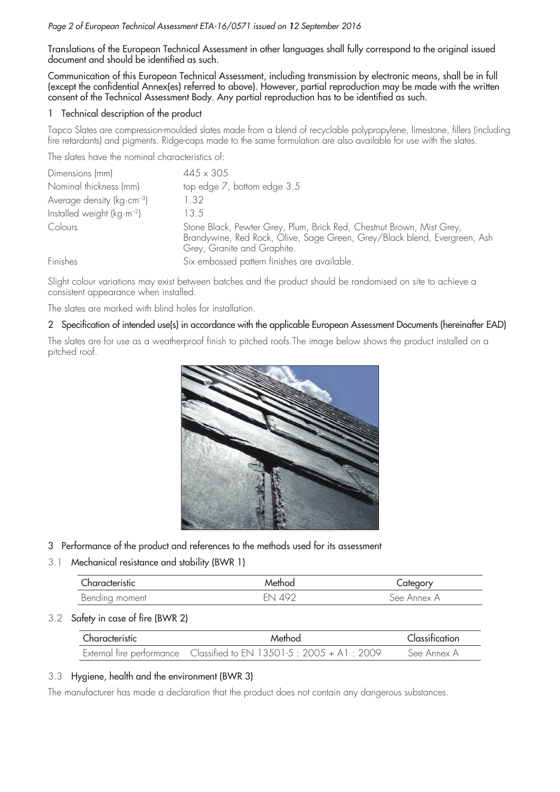#### *Page 2 of European Technical Assessment ETA-16/0571 issued on 12 September 2016*

Translations of the European Technical Assessment in other languages shall fully correspond to the original issued document and should be identified as such.

Communication of this European Technical Assessment, including transmission by electronic means, shall be in full (except the confidential Annex(es) referred to above). However, partial reproduction may be made with the written consent of the Technical Assessment Body. Any partial reproduction has to be identified as such.

#### 1 Technical description of the product

Tapco Slates are compression-moulded slates made from a blend of recyclable polypropylene, limestone, fillers (including fire retardants) and pigments. Ridge-caps made to the same formulation are also available for use with the slates.

The slates have the nominal characteristics of:

| Dimensions (mm)                         | $445 \times 305$                                                                                                                                                                  |
|-----------------------------------------|-----------------------------------------------------------------------------------------------------------------------------------------------------------------------------------|
| Nominal thickness (mm)                  | top edge 7, bottom edge 3.5                                                                                                                                                       |
| Average density ( $kg\text{-}cm^{-3}$ ) | 1.32                                                                                                                                                                              |
| Installed weight $(kg·m-2)$             | 13.5                                                                                                                                                                              |
| Colours                                 | Stone Black, Pewter Grey, Plum, Brick Red, Chestnut Brown, Mist Grey,<br>Brandywine, Red Rock, Olive, Sage Green, Grey/Black blend, Evergreen, Ash<br>Grey, Granite and Graphite. |
| Finishes                                | Six embossed pattern finishes are available.                                                                                                                                      |

Slight colour variations may exist between batches and the product should be randomised on site to achieve a consistent appearance when installed.

The slates are marked with blind holes for installation.

#### 2 Specification of intended use(s) in accordance with the applicable European Assessment Documents (hereinafter EAD)

The slates are for use as a weatherproof finish to pitched roofs.The image below shows the product installed on a pitched roof.



- 3 Performance of the product and references to the methods used for its assessment
- 3.1 Mechanical resistance and stability (BWR 1)

| Characteristic | Method  | ategory.    |
|----------------|---------|-------------|
| Bending moment | ENI 402 | See Annex A |

#### 3.2 Safety in case of fire (BWR 2)

| Characteristic | Method                                                              | Classification |
|----------------|---------------------------------------------------------------------|----------------|
|                | External fire performance Classified to EN 13501-5: 2005 + A1: 2009 | -See Annex A   |

#### 3.3 Hygiene, health and the environment (BWR 3)

The manufacturer has made a declaration that the product does not contain any dangerous substances.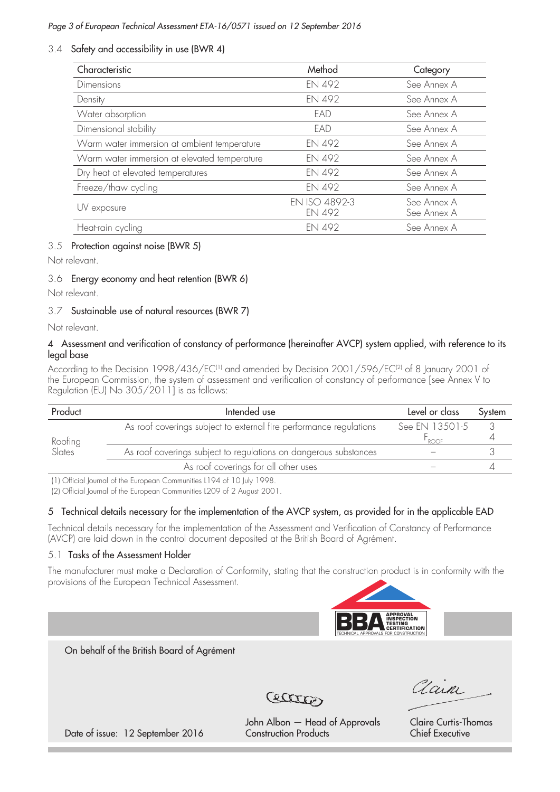#### *Page 3 of European Technical Assessment ETA-16/0571 issued on 12 September 2016*

#### 3.4 Safety and accessibility in use (BWR 4)

| Characteristic                               | Method                  | Category                   |
|----------------------------------------------|-------------------------|----------------------------|
| <b>Dimensions</b>                            | EN 492                  | See Annex A                |
| Density                                      | EN 492                  | See Annex A                |
| Water absorption                             | EAD                     | See Annex A                |
| Dimensional stability                        | FAD                     | See Annex A                |
| Warm water immersion at ambient temperature  | EN 492                  | See Annex A                |
| Warm water immersion at elevated temperature | EN 492                  | See Annex A                |
| Dry heat at elevated temperatures            | EN 492                  | See Annex A                |
| Freeze/thaw cycling                          | <b>EN 492</b>           | See Annex A                |
| UV exposure                                  | EN ISO 4892-3<br>EN 492 | See Annex A<br>See Annex A |
| Heat-rain cycling                            | <b>EN 492</b>           | See Annex A                |

#### 3.5 Protection against noise (BWR 5)

Not relevant.

#### 3.6 Energy economy and heat retention (BWR 6)

Not relevant.

#### 3.7 Sustainable use of natural resources (BWR 7)

Not relevant.

#### 4 Assessment and verification of constancy of performance (hereinafter AVCP) system applied, with reference to its legal base

According to the Decision 1998/436/EC<sup>(1)</sup> and amended by Decision 2001/596/EC<sup>(2)</sup> of 8 January 2001 of the European Commission, the system of assessment and verification of constancy of performance [see Annex V to Regulation (EU) No 305/2011] is as follows:

| Product           | Intended use                                                       | Level or class | System |
|-------------------|--------------------------------------------------------------------|----------------|--------|
|                   | As roof coverings subject to external fire performance regulations | See EN 13501-5 |        |
| Roofing<br>Slates |                                                                    | ROOF           |        |
|                   | As roof coverings subject to regulations on dangerous substances   |                |        |
|                   | As roof coverings for all other uses                               |                |        |

(1) Official Journal of the European Communities L194 of 10 July 1998.

(2) Official Journal of the European Communities L209 of 2 August 2001.

#### 5 Technical details necessary for the implementation of the AVCP system, as provided for in the applicable EAD

Technical details necessary for the implementation of the Assessment and Verification of Constancy of Performance (AVCP) are laid down in the control document deposited at the British Board of Agrément.

#### 5.1 Tasks of the Assessment Holder

The manufacturer must make a Declaration of Conformity, stating that the construction product is in conformity with the provisions of the European Technical Assessment.



On behalf of the British Board of Agrément



Vain

John Albon – Head of Approvals Claire Curtis-Thomas

Date of issue: 12 September 2016 Construction Products Chief Executive